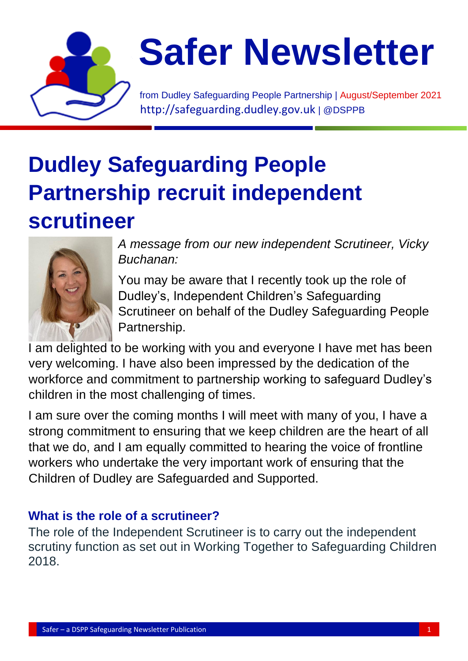

# **Safer Newsletter**

from Dudley Safeguarding People Partnership | August/September 2021 [http://safeguarding.dudley.gov.uk](http://safeguarding.dudley.gov.uk/) | @DSPPB

### **Dudley Safeguarding People Partnership recruit independent scrutineer**



*A message from our new independent Scrutineer, Vicky Buchanan:*

You may be aware that I recently took up the role of Dudley's, Independent Children's Safeguarding Scrutineer on behalf of the Dudley Safeguarding People Partnership.

I am delighted to be working with you and everyone I have met has been very welcoming. I have also been impressed by the dedication of the workforce and commitment to partnership working to safeguard Dudley's children in the most challenging of times.

I am sure over the coming months I will meet with many of you, I have a strong commitment to ensuring that we keep children are the heart of all that we do, and I am equally committed to hearing the voice of frontline workers who undertake the very important work of ensuring that the Children of Dudley are Safeguarded and Supported.

### **What is the role of a scrutineer?**

The role of the Independent Scrutineer is to carry out the independent scrutiny function as set out in Working Together to Safeguarding Children 2018.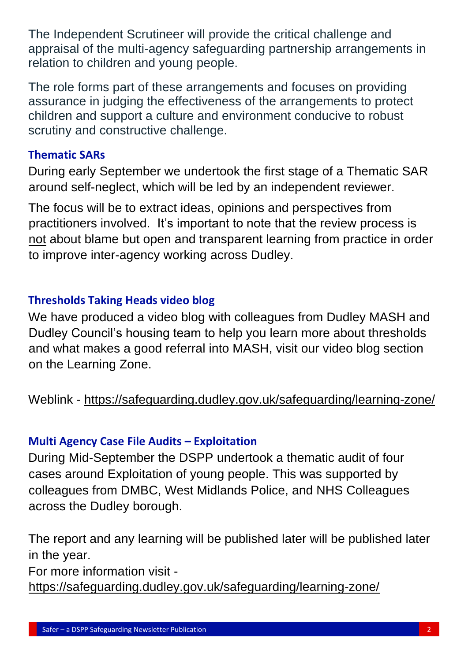The Independent Scrutineer will provide the critical challenge and appraisal of the multi-agency safeguarding partnership arrangements in relation to children and young people.

The role forms part of these arrangements and focuses on providing assurance in judging the effectiveness of the arrangements to protect children and support a culture and environment conducive to robust scrutiny and constructive challenge.

#### **Thematic SARs**

During early September we undertook the first stage of a Thematic SAR around self-neglect, which will be led by an independent reviewer.

The focus will be to extract ideas, opinions and perspectives from practitioners involved. It's important to note that the review process is not about blame but open and transparent learning from practice in order to improve inter-agency working across Dudley.

#### **Thresholds Taking Heads video blog**

We have produced a video blog with colleagues from Dudley MASH and Dudley Council's housing team to help you learn more about thresholds and what makes a good referral into MASH, visit our video blog section on the Learning Zone.

Weblink - <https://safeguarding.dudley.gov.uk/safeguarding/learning-zone/>

### **Multi Agency Case File Audits – Exploitation**

During Mid-September the DSPP undertook a thematic audit of four cases around Exploitation of young people. This was supported by colleagues from DMBC, West Midlands Police, and NHS Colleagues across the Dudley borough.

The report and any learning will be published later will be published later in the year.

For more information visit -

<https://safeguarding.dudley.gov.uk/safeguarding/learning-zone/>